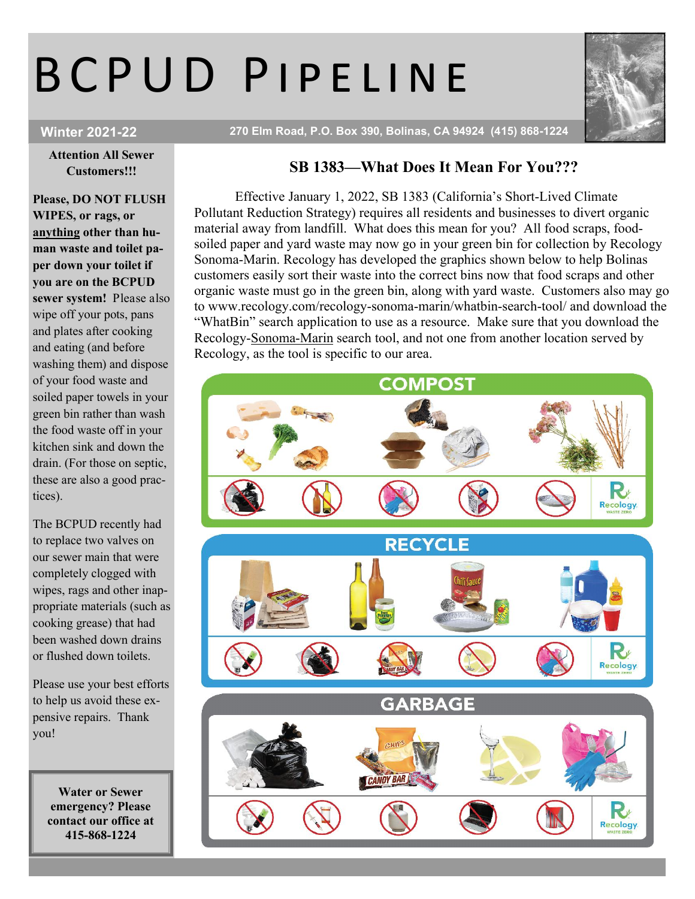## B C P U D P I P E L I N E



Winter 2021-22 270 Elm Road, P.O. Box 390, Bolinas, CA 94924 (415) 868-1224

Attention All Sewer Customers!!!

Please, DO NOT FLUSH WIPES, or rags, or anything other than human waste and toilet paper down your toilet if you are on the BCPUD sewer system! Please also wipe off your pots, pans and plates after cooking and eating (and before washing them) and dispose of your food waste and soiled paper towels in your green bin rather than wash the food waste off in your kitchen sink and down the drain. (For those on septic, these are also a good practices).

The BCPUD recently had to replace two valves on our sewer main that were completely clogged with wipes, rags and other inappropriate materials (such as cooking grease) that had been washed down drains or flushed down toilets.

Please use your best efforts to help us avoid these expensive repairs. Thank you!

> Water or Sewer emergency? Please contact our office at 415-868-1224

## SB 1383—What Does It Mean For You???

Effective January 1, 2022, SB 1383 (California's Short-Lived Climate Pollutant Reduction Strategy) requires all residents and businesses to divert organic material away from landfill. What does this mean for you? All food scraps, foodsoiled paper and yard waste may now go in your green bin for collection by Recology Sonoma-Marin. Recology has developed the graphics shown below to help Bolinas customers easily sort their waste into the correct bins now that food scraps and other organic waste must go in the green bin, along with yard waste. Customers also may go to www.recology.com/recology-sonoma-marin/whatbin-search-tool/ and download the "WhatBin" search application to use as a resource. Make sure that you download the Recology-Sonoma-Marin search tool, and not one from another location served by Recology, as the tool is specific to our area.